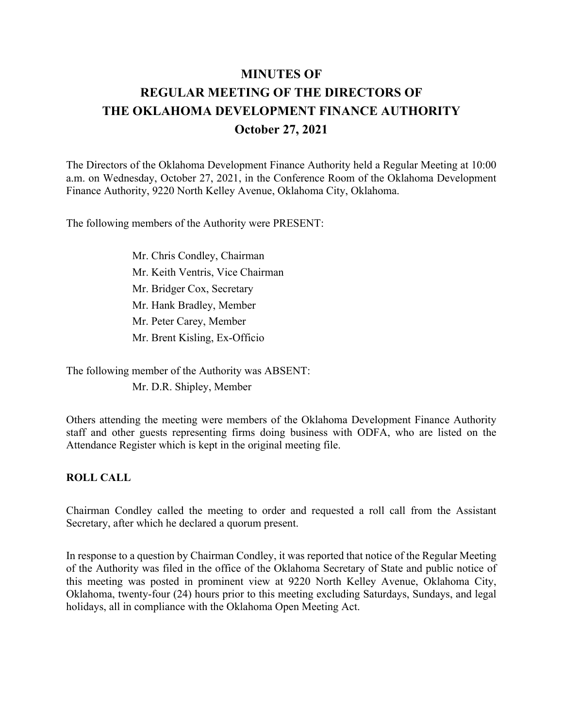# **MINUTES OF REGULAR MEETING OF THE DIRECTORS OF THE OKLAHOMA DEVELOPMENT FINANCE AUTHORITY October 27, 2021**

The Directors of the Oklahoma Development Finance Authority held a Regular Meeting at 10:00 a.m. on Wednesday, October 27, 2021, in the Conference Room of the Oklahoma Development Finance Authority, 9220 North Kelley Avenue, Oklahoma City, Oklahoma.

The following members of the Authority were PRESENT:

 Mr. Chris Condley, Chairman Mr. Keith Ventris, Vice Chairman Mr. Bridger Cox, Secretary Mr. Hank Bradley, Member Mr. Peter Carey, Member Mr. Brent Kisling, Ex-Officio

The following member of the Authority was ABSENT: Mr. D.R. Shipley, Member

Others attending the meeting were members of the Oklahoma Development Finance Authority staff and other guests representing firms doing business with ODFA, who are listed on the Attendance Register which is kept in the original meeting file.

#### **ROLL CALL**

Chairman Condley called the meeting to order and requested a roll call from the Assistant Secretary, after which he declared a quorum present.

In response to a question by Chairman Condley, it was reported that notice of the Regular Meeting of the Authority was filed in the office of the Oklahoma Secretary of State and public notice of this meeting was posted in prominent view at 9220 North Kelley Avenue, Oklahoma City, Oklahoma, twenty-four (24) hours prior to this meeting excluding Saturdays, Sundays, and legal holidays, all in compliance with the Oklahoma Open Meeting Act.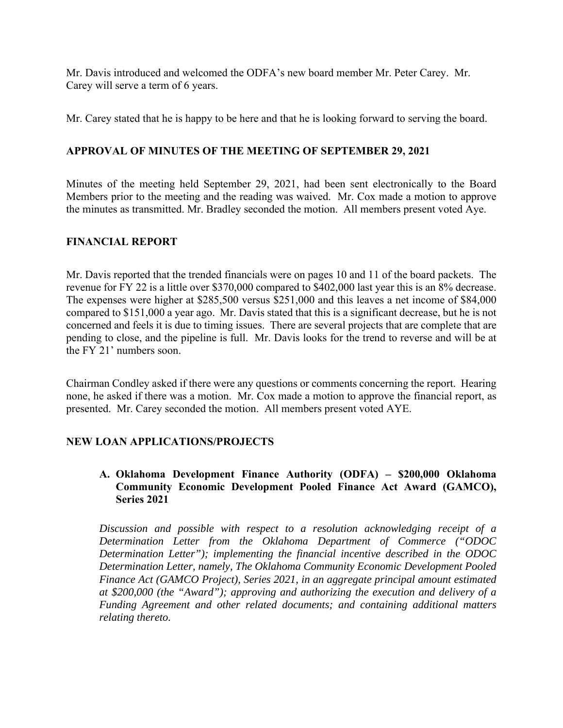Mr. Davis introduced and welcomed the ODFA's new board member Mr. Peter Carey. Mr. Carey will serve a term of 6 years.

Mr. Carey stated that he is happy to be here and that he is looking forward to serving the board.

## **APPROVAL OF MINUTES OF THE MEETING OF SEPTEMBER 29, 2021**

Minutes of the meeting held September 29, 2021, had been sent electronically to the Board Members prior to the meeting and the reading was waived. Mr. Cox made a motion to approve the minutes as transmitted. Mr. Bradley seconded the motion. All members present voted Aye.

#### **FINANCIAL REPORT**

Mr. Davis reported that the trended financials were on pages 10 and 11 of the board packets. The revenue for FY 22 is a little over \$370,000 compared to \$402,000 last year this is an 8% decrease. The expenses were higher at \$285,500 versus \$251,000 and this leaves a net income of \$84,000 compared to \$151,000 a year ago. Mr. Davis stated that this is a significant decrease, but he is not concerned and feels it is due to timing issues. There are several projects that are complete that are pending to close, and the pipeline is full. Mr. Davis looks for the trend to reverse and will be at the FY 21' numbers soon.

Chairman Condley asked if there were any questions or comments concerning the report. Hearing none, he asked if there was a motion. Mr. Cox made a motion to approve the financial report, as presented. Mr. Carey seconded the motion. All members present voted AYE.

## **NEW LOAN APPLICATIONS/PROJECTS**

## **A. Oklahoma Development Finance Authority (ODFA) – \$200,000 Oklahoma Community Economic Development Pooled Finance Act Award (GAMCO), Series 2021**

*Discussion and possible with respect to a resolution acknowledging receipt of a Determination Letter from the Oklahoma Department of Commerce ("ODOC Determination Letter"); implementing the financial incentive described in the ODOC Determination Letter, namely, The Oklahoma Community Economic Development Pooled Finance Act (GAMCO Project), Series 2021, in an aggregate principal amount estimated at \$200,000 (the "Award"); approving and authorizing the execution and delivery of a Funding Agreement and other related documents; and containing additional matters relating thereto.*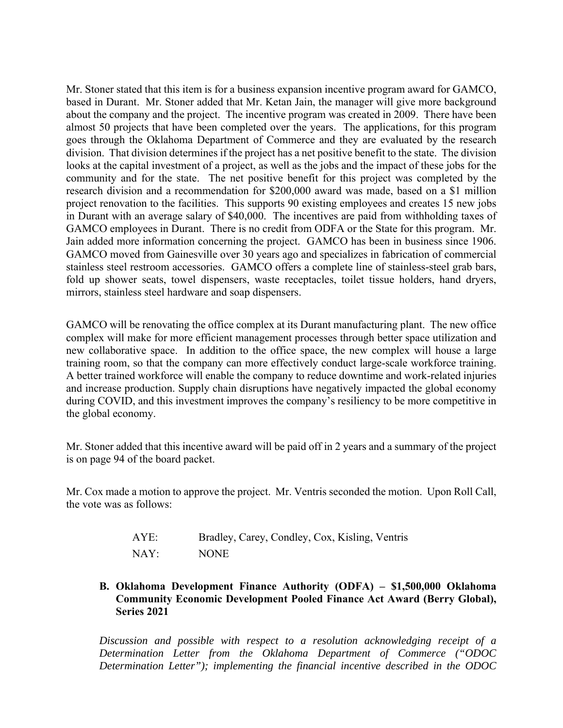Mr. Stoner stated that this item is for a business expansion incentive program award for GAMCO, based in Durant. Mr. Stoner added that Mr. Ketan Jain, the manager will give more background about the company and the project. The incentive program was created in 2009. There have been almost 50 projects that have been completed over the years. The applications, for this program goes through the Oklahoma Department of Commerce and they are evaluated by the research division. That division determines if the project has a net positive benefit to the state. The division looks at the capital investment of a project, as well as the jobs and the impact of these jobs for the community and for the state. The net positive benefit for this project was completed by the research division and a recommendation for \$200,000 award was made, based on a \$1 million project renovation to the facilities. This supports 90 existing employees and creates 15 new jobs in Durant with an average salary of \$40,000. The incentives are paid from withholding taxes of GAMCO employees in Durant. There is no credit from ODFA or the State for this program. Mr. Jain added more information concerning the project. GAMCO has been in business since 1906. GAMCO moved from Gainesville over 30 years ago and specializes in fabrication of commercial stainless steel restroom accessories. GAMCO offers a complete line of stainless-steel grab bars, fold up shower seats, towel dispensers, waste receptacles, toilet tissue holders, hand dryers, mirrors, stainless steel hardware and soap dispensers.

GAMCO will be renovating the office complex at its Durant manufacturing plant. The new office complex will make for more efficient management processes through better space utilization and new collaborative space. In addition to the office space, the new complex will house a large training room, so that the company can more effectively conduct large-scale workforce training. A better trained workforce will enable the company to reduce downtime and work-related injuries and increase production. Supply chain disruptions have negatively impacted the global economy during COVID, and this investment improves the company's resiliency to be more competitive in the global economy.

Mr. Stoner added that this incentive award will be paid off in 2 years and a summary of the project is on page 94 of the board packet.

Mr. Cox made a motion to approve the project. Mr. Ventris seconded the motion. Upon Roll Call, the vote was as follows:

| AYE: | Bradley, Carey, Condley, Cox, Kisling, Ventris |
|------|------------------------------------------------|
| NAY: | <b>NONE</b>                                    |

**B. Oklahoma Development Finance Authority (ODFA) – \$1,500,000 Oklahoma Community Economic Development Pooled Finance Act Award (Berry Global), Series 2021** 

*Discussion and possible with respect to a resolution acknowledging receipt of a Determination Letter from the Oklahoma Department of Commerce ("ODOC Determination Letter"); implementing the financial incentive described in the ODOC*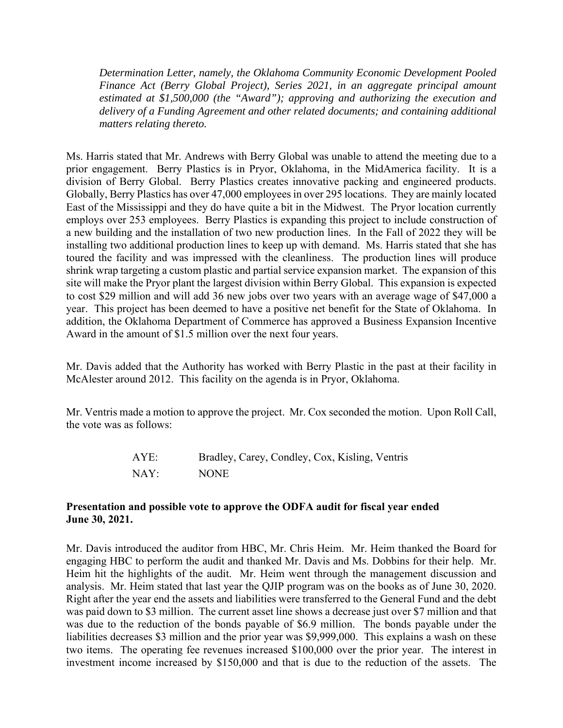*Determination Letter, namely, the Oklahoma Community Economic Development Pooled Finance Act (Berry Global Project), Series 2021, in an aggregate principal amount estimated at \$1,500,000 (the "Award"); approving and authorizing the execution and delivery of a Funding Agreement and other related documents; and containing additional matters relating thereto.* 

Ms. Harris stated that Mr. Andrews with Berry Global was unable to attend the meeting due to a prior engagement. Berry Plastics is in Pryor, Oklahoma, in the MidAmerica facility. It is a division of Berry Global. Berry Plastics creates innovative packing and engineered products. Globally, Berry Plastics has over 47,000 employees in over 295 locations. They are mainly located East of the Mississippi and they do have quite a bit in the Midwest. The Pryor location currently employs over 253 employees. Berry Plastics is expanding this project to include construction of a new building and the installation of two new production lines. In the Fall of 2022 they will be installing two additional production lines to keep up with demand. Ms. Harris stated that she has toured the facility and was impressed with the cleanliness. The production lines will produce shrink wrap targeting a custom plastic and partial service expansion market. The expansion of this site will make the Pryor plant the largest division within Berry Global. This expansion is expected to cost \$29 million and will add 36 new jobs over two years with an average wage of \$47,000 a year. This project has been deemed to have a positive net benefit for the State of Oklahoma. In addition, the Oklahoma Department of Commerce has approved a Business Expansion Incentive Award in the amount of \$1.5 million over the next four years.

Mr. Davis added that the Authority has worked with Berry Plastic in the past at their facility in McAlester around 2012. This facility on the agenda is in Pryor, Oklahoma.

Mr. Ventris made a motion to approve the project. Mr. Cox seconded the motion. Upon Roll Call, the vote was as follows:

| AYE: | Bradley, Carey, Condley, Cox, Kisling, Ventris |
|------|------------------------------------------------|
| NAY: | <b>NONE</b>                                    |

#### **Presentation and possible vote to approve the ODFA audit for fiscal year ended June 30, 2021.**

Mr. Davis introduced the auditor from HBC, Mr. Chris Heim. Mr. Heim thanked the Board for engaging HBC to perform the audit and thanked Mr. Davis and Ms. Dobbins for their help. Mr. Heim hit the highlights of the audit. Mr. Heim went through the management discussion and analysis. Mr. Heim stated that last year the QJIP program was on the books as of June 30, 2020. Right after the year end the assets and liabilities were transferred to the General Fund and the debt was paid down to \$3 million. The current asset line shows a decrease just over \$7 million and that was due to the reduction of the bonds payable of \$6.9 million. The bonds payable under the liabilities decreases \$3 million and the prior year was \$9,999,000. This explains a wash on these two items. The operating fee revenues increased \$100,000 over the prior year. The interest in investment income increased by \$150,000 and that is due to the reduction of the assets. The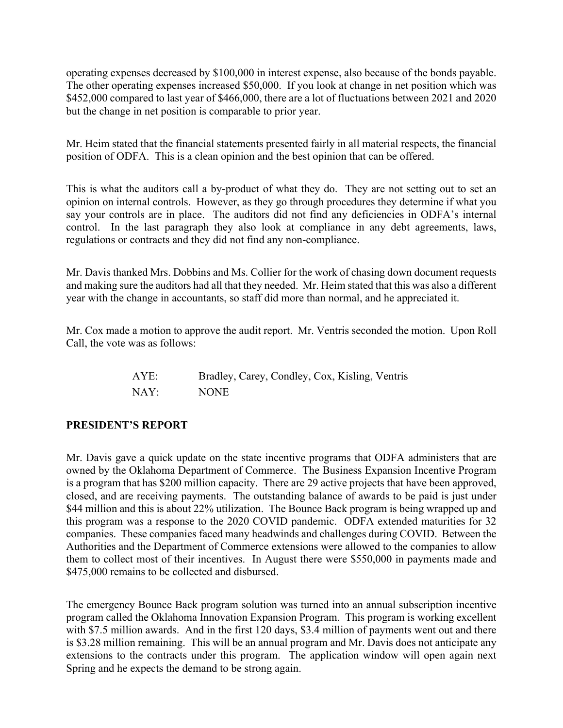operating expenses decreased by \$100,000 in interest expense, also because of the bonds payable. The other operating expenses increased \$50,000. If you look at change in net position which was \$452,000 compared to last year of \$466,000, there are a lot of fluctuations between 2021 and 2020 but the change in net position is comparable to prior year.

Mr. Heim stated that the financial statements presented fairly in all material respects, the financial position of ODFA. This is a clean opinion and the best opinion that can be offered.

This is what the auditors call a by-product of what they do. They are not setting out to set an opinion on internal controls. However, as they go through procedures they determine if what you say your controls are in place. The auditors did not find any deficiencies in ODFA's internal control. In the last paragraph they also look at compliance in any debt agreements, laws, regulations or contracts and they did not find any non-compliance.

Mr. Davis thanked Mrs. Dobbins and Ms. Collier for the work of chasing down document requests and making sure the auditors had all that they needed. Mr. Heim stated that this was also a different year with the change in accountants, so staff did more than normal, and he appreciated it.

Mr. Cox made a motion to approve the audit report. Mr. Ventris seconded the motion. Upon Roll Call, the vote was as follows:

| AYE: | Bradley, Carey, Condley, Cox, Kisling, Ventris |
|------|------------------------------------------------|
| NAY: | <b>NONE</b>                                    |

## **PRESIDENT'S REPORT**

Mr. Davis gave a quick update on the state incentive programs that ODFA administers that are owned by the Oklahoma Department of Commerce. The Business Expansion Incentive Program is a program that has \$200 million capacity. There are 29 active projects that have been approved, closed, and are receiving payments. The outstanding balance of awards to be paid is just under \$44 million and this is about 22% utilization. The Bounce Back program is being wrapped up and this program was a response to the 2020 COVID pandemic. ODFA extended maturities for 32 companies. These companies faced many headwinds and challenges during COVID. Between the Authorities and the Department of Commerce extensions were allowed to the companies to allow them to collect most of their incentives. In August there were \$550,000 in payments made and \$475,000 remains to be collected and disbursed.

The emergency Bounce Back program solution was turned into an annual subscription incentive program called the Oklahoma Innovation Expansion Program. This program is working excellent with \$7.5 million awards. And in the first 120 days, \$3.4 million of payments went out and there is \$3.28 million remaining. This will be an annual program and Mr. Davis does not anticipate any extensions to the contracts under this program. The application window will open again next Spring and he expects the demand to be strong again.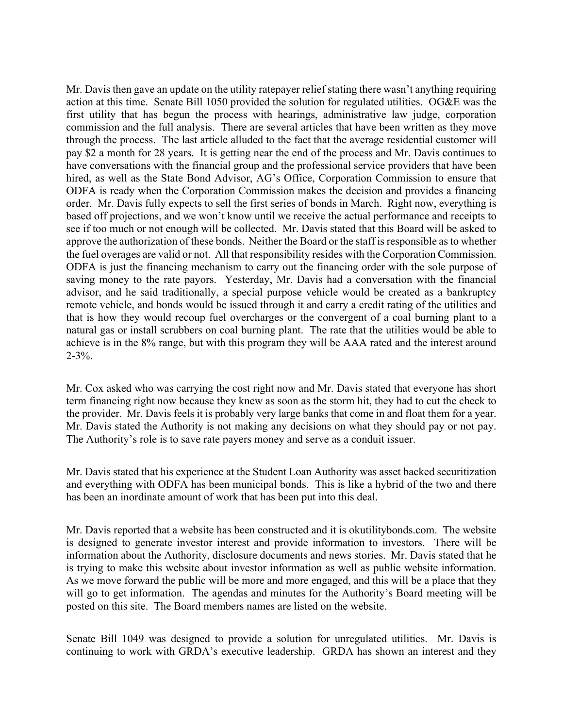Mr. Davis then gave an update on the utility ratepayer relief stating there wasn't anything requiring action at this time. Senate Bill 1050 provided the solution for regulated utilities. OG&E was the first utility that has begun the process with hearings, administrative law judge, corporation commission and the full analysis. There are several articles that have been written as they move through the process. The last article alluded to the fact that the average residential customer will pay \$2 a month for 28 years. It is getting near the end of the process and Mr. Davis continues to have conversations with the financial group and the professional service providers that have been hired, as well as the State Bond Advisor, AG's Office, Corporation Commission to ensure that ODFA is ready when the Corporation Commission makes the decision and provides a financing order. Mr. Davis fully expects to sell the first series of bonds in March. Right now, everything is based off projections, and we won't know until we receive the actual performance and receipts to see if too much or not enough will be collected. Mr. Davis stated that this Board will be asked to approve the authorization of these bonds. Neither the Board or the staff is responsible as to whether the fuel overages are valid or not. All that responsibility resides with the Corporation Commission. ODFA is just the financing mechanism to carry out the financing order with the sole purpose of saving money to the rate payors. Yesterday, Mr. Davis had a conversation with the financial advisor, and he said traditionally, a special purpose vehicle would be created as a bankruptcy remote vehicle, and bonds would be issued through it and carry a credit rating of the utilities and that is how they would recoup fuel overcharges or the convergent of a coal burning plant to a natural gas or install scrubbers on coal burning plant. The rate that the utilities would be able to achieve is in the 8% range, but with this program they will be AAA rated and the interest around  $2 - 3\%$ .

Mr. Cox asked who was carrying the cost right now and Mr. Davis stated that everyone has short term financing right now because they knew as soon as the storm hit, they had to cut the check to the provider. Mr. Davis feels it is probably very large banks that come in and float them for a year. Mr. Davis stated the Authority is not making any decisions on what they should pay or not pay. The Authority's role is to save rate payers money and serve as a conduit issuer.

Mr. Davis stated that his experience at the Student Loan Authority was asset backed securitization and everything with ODFA has been municipal bonds. This is like a hybrid of the two and there has been an inordinate amount of work that has been put into this deal.

Mr. Davis reported that a website has been constructed and it is okutilitybonds.com. The website is designed to generate investor interest and provide information to investors. There will be information about the Authority, disclosure documents and news stories. Mr. Davis stated that he is trying to make this website about investor information as well as public website information. As we move forward the public will be more and more engaged, and this will be a place that they will go to get information. The agendas and minutes for the Authority's Board meeting will be posted on this site. The Board members names are listed on the website.

Senate Bill 1049 was designed to provide a solution for unregulated utilities. Mr. Davis is continuing to work with GRDA's executive leadership. GRDA has shown an interest and they